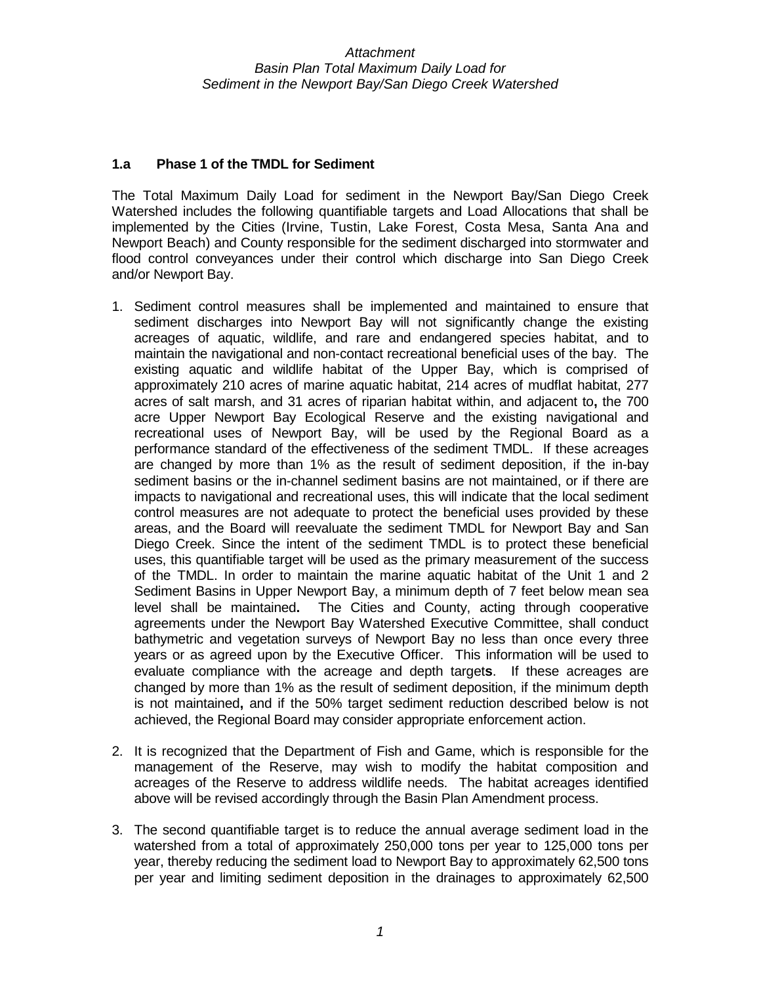## **1.a Phase 1 of the TMDL for Sediment**

The Total Maximum Daily Load for sediment in the Newport Bay/San Diego Creek Watershed includes the following quantifiable targets and Load Allocations that shall be implemented by the Cities (Irvine, Tustin, Lake Forest, Costa Mesa, Santa Ana and Newport Beach) and County responsible for the sediment discharged into stormwater and flood control conveyances under their control which discharge into San Diego Creek and/or Newport Bay.

- 1. Sediment control measures shall be implemented and maintained to ensure that sediment discharges into Newport Bay will not significantly change the existing acreages of aquatic, wildlife, and rare and endangered species habitat, and to maintain the navigational and non-contact recreational beneficial uses of the bay. The existing aquatic and wildlife habitat of the Upper Bay, which is comprised of approximately 210 acres of marine aquatic habitat, 214 acres of mudflat habitat, 277 acres of salt marsh, and 31 acres of riparian habitat within, and adjacent to**,** the 700 acre Upper Newport Bay Ecological Reserve and the existing navigational and recreational uses of Newport Bay, will be used by the Regional Board as a performance standard of the effectiveness of the sediment TMDL. If these acreages are changed by more than 1% as the result of sediment deposition, if the in-bay sediment basins or the in-channel sediment basins are not maintained, or if there are impacts to navigational and recreational uses, this will indicate that the local sediment control measures are not adequate to protect the beneficial uses provided by these areas, and the Board will reevaluate the sediment TMDL for Newport Bay and San Diego Creek. Since the intent of the sediment TMDL is to protect these beneficial uses, this quantifiable target will be used as the primary measurement of the success of the TMDL. In order to maintain the marine aquatic habitat of the Unit 1 and 2 Sediment Basins in Upper Newport Bay, a minimum depth of 7 feet below mean sea level shall be maintained**.** The Cities and County, acting through cooperative agreements under the Newport Bay Watershed Executive Committee, shall conduct bathymetric and vegetation surveys of Newport Bay no less than once every three years or as agreed upon by the Executive Officer. This information will be used to evaluate compliance with the acreage and depth target**s**. If these acreages are changed by more than 1% as the result of sediment deposition, if the minimum depth is not maintained**,** and if the 50% target sediment reduction described below is not achieved, the Regional Board may consider appropriate enforcement action.
- 2. It is recognized that the Department of Fish and Game, which is responsible for the management of the Reserve, may wish to modify the habitat composition and acreages of the Reserve to address wildlife needs. The habitat acreages identified above will be revised accordingly through the Basin Plan Amendment process.
- 3. The second quantifiable target is to reduce the annual average sediment load in the watershed from a total of approximately 250,000 tons per year to 125,000 tons per year, thereby reducing the sediment load to Newport Bay to approximately 62,500 tons per year and limiting sediment deposition in the drainages to approximately 62,500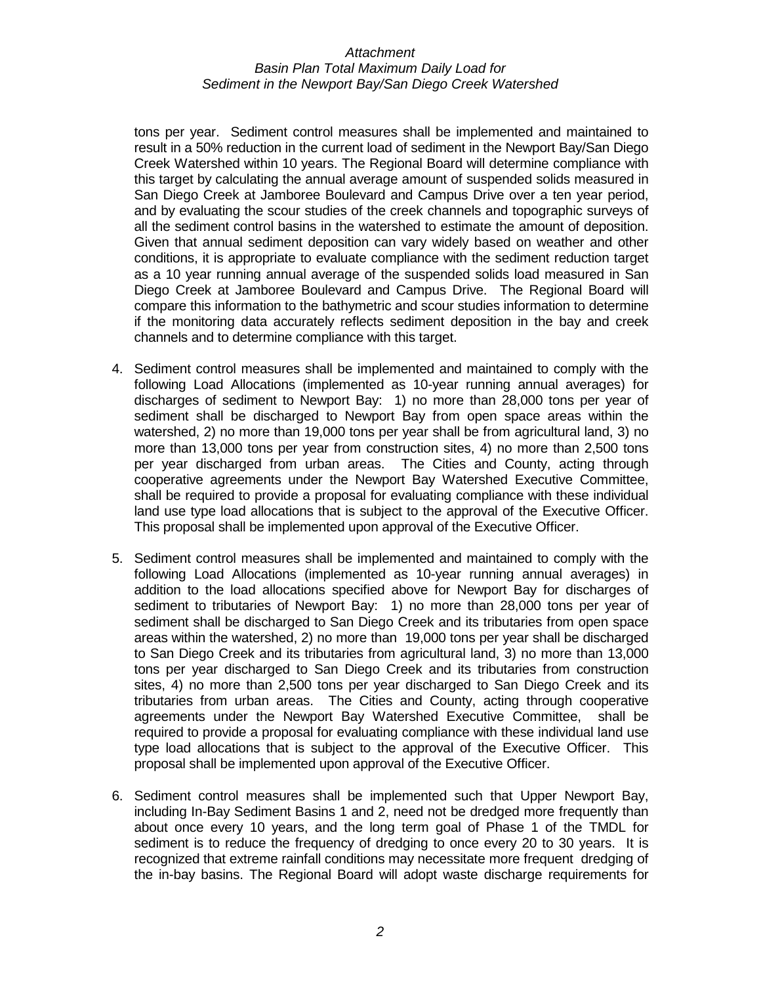tons per year. Sediment control measures shall be implemented and maintained to result in a 50% reduction in the current load of sediment in the Newport Bay/San Diego Creek Watershed within 10 years. The Regional Board will determine compliance with this target by calculating the annual average amount of suspended solids measured in San Diego Creek at Jamboree Boulevard and Campus Drive over a ten year period, and by evaluating the scour studies of the creek channels and topographic surveys of all the sediment control basins in the watershed to estimate the amount of deposition. Given that annual sediment deposition can vary widely based on weather and other conditions, it is appropriate to evaluate compliance with the sediment reduction target as a 10 year running annual average of the suspended solids load measured in San Diego Creek at Jamboree Boulevard and Campus Drive. The Regional Board will compare this information to the bathymetric and scour studies information to determine if the monitoring data accurately reflects sediment deposition in the bay and creek channels and to determine compliance with this target.

- 4. Sediment control measures shall be implemented and maintained to comply with the following Load Allocations (implemented as 10-year running annual averages) for discharges of sediment to Newport Bay: 1) no more than 28,000 tons per year of sediment shall be discharged to Newport Bay from open space areas within the watershed, 2) no more than 19,000 tons per year shall be from agricultural land, 3) no more than 13,000 tons per year from construction sites, 4) no more than 2,500 tons per year discharged from urban areas. The Cities and County, acting through cooperative agreements under the Newport Bay Watershed Executive Committee, shall be required to provide a proposal for evaluating compliance with these individual land use type load allocations that is subject to the approval of the Executive Officer. This proposal shall be implemented upon approval of the Executive Officer.
- 5. Sediment control measures shall be implemented and maintained to comply with the following Load Allocations (implemented as 10-year running annual averages) in addition to the load allocations specified above for Newport Bay for discharges of sediment to tributaries of Newport Bay: 1) no more than 28,000 tons per year of sediment shall be discharged to San Diego Creek and its tributaries from open space areas within the watershed, 2) no more than 19,000 tons per year shall be discharged to San Diego Creek and its tributaries from agricultural land, 3) no more than 13,000 tons per year discharged to San Diego Creek and its tributaries from construction sites, 4) no more than 2,500 tons per year discharged to San Diego Creek and its tributaries from urban areas. The Cities and County, acting through cooperative agreements under the Newport Bay Watershed Executive Committee, shall be required to provide a proposal for evaluating compliance with these individual land use type load allocations that is subject to the approval of the Executive Officer. This proposal shall be implemented upon approval of the Executive Officer.
- 6. Sediment control measures shall be implemented such that Upper Newport Bay, including In-Bay Sediment Basins 1 and 2, need not be dredged more frequently than about once every 10 years, and the long term goal of Phase 1 of the TMDL for sediment is to reduce the frequency of dredging to once every 20 to 30 years. It is recognized that extreme rainfall conditions may necessitate more frequent dredging of the in-bay basins. The Regional Board will adopt waste discharge requirements for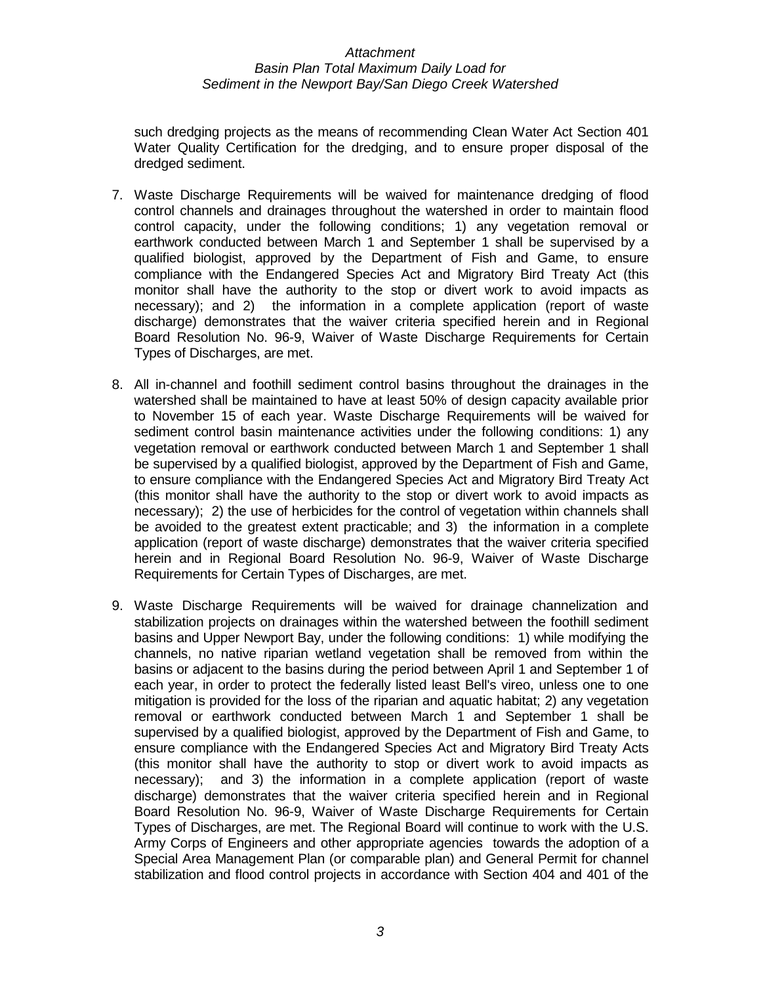such dredging projects as the means of recommending Clean Water Act Section 401 Water Quality Certification for the dredging, and to ensure proper disposal of the dredged sediment.

- 7. Waste Discharge Requirements will be waived for maintenance dredging of flood control channels and drainages throughout the watershed in order to maintain flood control capacity, under the following conditions; 1) any vegetation removal or earthwork conducted between March 1 and September 1 shall be supervised by a qualified biologist, approved by the Department of Fish and Game, to ensure compliance with the Endangered Species Act and Migratory Bird Treaty Act (this monitor shall have the authority to the stop or divert work to avoid impacts as necessary); and 2) the information in a complete application (report of waste discharge) demonstrates that the waiver criteria specified herein and in Regional Board Resolution No. 96-9, Waiver of Waste Discharge Requirements for Certain Types of Discharges, are met.
- 8. All in-channel and foothill sediment control basins throughout the drainages in the watershed shall be maintained to have at least 50% of design capacity available prior to November 15 of each year. Waste Discharge Requirements will be waived for sediment control basin maintenance activities under the following conditions: 1) any vegetation removal or earthwork conducted between March 1 and September 1 shall be supervised by a qualified biologist, approved by the Department of Fish and Game, to ensure compliance with the Endangered Species Act and Migratory Bird Treaty Act (this monitor shall have the authority to the stop or divert work to avoid impacts as necessary); 2) the use of herbicides for the control of vegetation within channels shall be avoided to the greatest extent practicable; and 3) the information in a complete application (report of waste discharge) demonstrates that the waiver criteria specified herein and in Regional Board Resolution No. 96-9, Waiver of Waste Discharge Requirements for Certain Types of Discharges, are met.
- 9. Waste Discharge Requirements will be waived for drainage channelization and stabilization projects on drainages within the watershed between the foothill sediment basins and Upper Newport Bay, under the following conditions: 1) while modifying the channels, no native riparian wetland vegetation shall be removed from within the basins or adjacent to the basins during the period between April 1 and September 1 of each year, in order to protect the federally listed least Bell's vireo, unless one to one mitigation is provided for the loss of the riparian and aquatic habitat; 2) any vegetation removal or earthwork conducted between March 1 and September 1 shall be supervised by a qualified biologist, approved by the Department of Fish and Game, to ensure compliance with the Endangered Species Act and Migratory Bird Treaty Acts (this monitor shall have the authority to stop or divert work to avoid impacts as necessary); and 3) the information in a complete application (report of waste discharge) demonstrates that the waiver criteria specified herein and in Regional Board Resolution No. 96-9, Waiver of Waste Discharge Requirements for Certain Types of Discharges, are met. The Regional Board will continue to work with the U.S. Army Corps of Engineers and other appropriate agencies towards the adoption of a Special Area Management Plan (or comparable plan) and General Permit for channel stabilization and flood control projects in accordance with Section 404 and 401 of the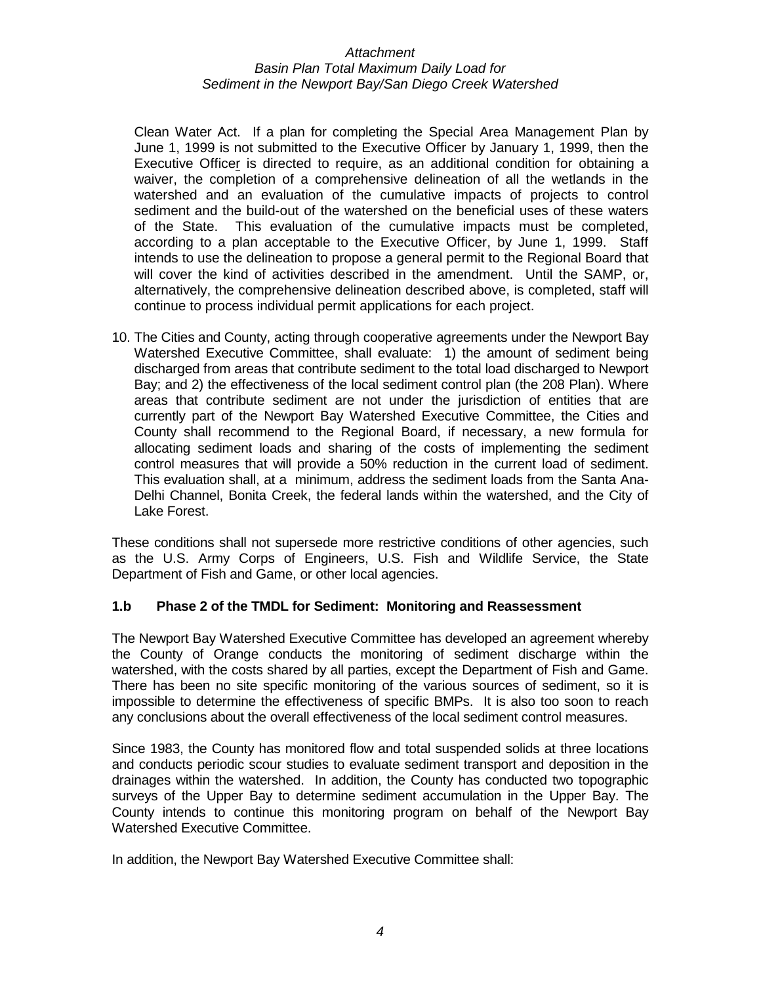Clean Water Act. If a plan for completing the Special Area Management Plan by June 1, 1999 is not submitted to the Executive Officer by January 1, 1999, then the Executive Officer is directed to require, as an additional condition for obtaining a waiver, the completion of a comprehensive delineation of all the wetlands in the watershed and an evaluation of the cumulative impacts of projects to control sediment and the build-out of the watershed on the beneficial uses of these waters of the State. This evaluation of the cumulative impacts must be completed, according to a plan acceptable to the Executive Officer, by June 1, 1999. Staff intends to use the delineation to propose a general permit to the Regional Board that will cover the kind of activities described in the amendment. Until the SAMP, or, alternatively, the comprehensive delineation described above, is completed, staff will continue to process individual permit applications for each project.

10. The Cities and County, acting through cooperative agreements under the Newport Bay Watershed Executive Committee, shall evaluate: 1) the amount of sediment being discharged from areas that contribute sediment to the total load discharged to Newport Bay; and 2) the effectiveness of the local sediment control plan (the 208 Plan). Where areas that contribute sediment are not under the jurisdiction of entities that are currently part of the Newport Bay Watershed Executive Committee, the Cities and County shall recommend to the Regional Board, if necessary, a new formula for allocating sediment loads and sharing of the costs of implementing the sediment control measures that will provide a 50% reduction in the current load of sediment. This evaluation shall, at a minimum, address the sediment loads from the Santa Ana-Delhi Channel, Bonita Creek, the federal lands within the watershed, and the City of Lake Forest.

These conditions shall not supersede more restrictive conditions of other agencies, such as the U.S. Army Corps of Engineers, U.S. Fish and Wildlife Service, the State Department of Fish and Game, or other local agencies.

# **1.b Phase 2 of the TMDL for Sediment: Monitoring and Reassessment**

The Newport Bay Watershed Executive Committee has developed an agreement whereby the County of Orange conducts the monitoring of sediment discharge within the watershed, with the costs shared by all parties, except the Department of Fish and Game. There has been no site specific monitoring of the various sources of sediment, so it is impossible to determine the effectiveness of specific BMPs. It is also too soon to reach any conclusions about the overall effectiveness of the local sediment control measures.

Since 1983, the County has monitored flow and total suspended solids at three locations and conducts periodic scour studies to evaluate sediment transport and deposition in the drainages within the watershed. In addition, the County has conducted two topographic surveys of the Upper Bay to determine sediment accumulation in the Upper Bay. The County intends to continue this monitoring program on behalf of the Newport Bay Watershed Executive Committee.

In addition, the Newport Bay Watershed Executive Committee shall: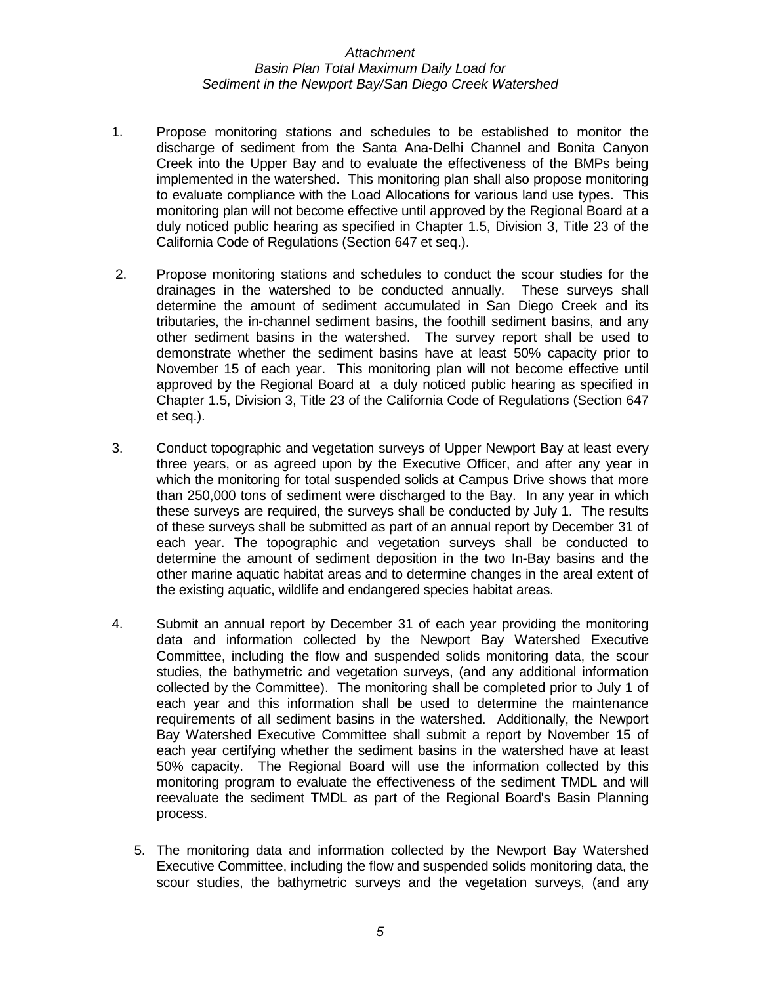- 1. Propose monitoring stations and schedules to be established to monitor the discharge of sediment from the Santa Ana-Delhi Channel and Bonita Canyon Creek into the Upper Bay and to evaluate the effectiveness of the BMPs being implemented in the watershed. This monitoring plan shall also propose monitoring to evaluate compliance with the Load Allocations for various land use types. This monitoring plan will not become effective until approved by the Regional Board at a duly noticed public hearing as specified in Chapter 1.5, Division 3, Title 23 of the California Code of Regulations (Section 647 et seq.).
- 2. Propose monitoring stations and schedules to conduct the scour studies for the drainages in the watershed to be conducted annually. These surveys shall determine the amount of sediment accumulated in San Diego Creek and its tributaries, the in-channel sediment basins, the foothill sediment basins, and any other sediment basins in the watershed. The survey report shall be used to demonstrate whether the sediment basins have at least 50% capacity prior to November 15 of each year. This monitoring plan will not become effective until approved by the Regional Board at a duly noticed public hearing as specified in Chapter 1.5, Division 3, Title 23 of the California Code of Regulations (Section 647 et seq.).
- 3. Conduct topographic and vegetation surveys of Upper Newport Bay at least every three years, or as agreed upon by the Executive Officer, and after any year in which the monitoring for total suspended solids at Campus Drive shows that more than 250,000 tons of sediment were discharged to the Bay. In any year in which these surveys are required, the surveys shall be conducted by July 1. The results of these surveys shall be submitted as part of an annual report by December 31 of each year. The topographic and vegetation surveys shall be conducted to determine the amount of sediment deposition in the two In-Bay basins and the other marine aquatic habitat areas and to determine changes in the areal extent of the existing aquatic, wildlife and endangered species habitat areas.
- 4. Submit an annual report by December 31 of each year providing the monitoring data and information collected by the Newport Bay Watershed Executive Committee, including the flow and suspended solids monitoring data, the scour studies, the bathymetric and vegetation surveys, (and any additional information collected by the Committee). The monitoring shall be completed prior to July 1 of each year and this information shall be used to determine the maintenance requirements of all sediment basins in the watershed. Additionally, the Newport Bay Watershed Executive Committee shall submit a report by November 15 of each year certifying whether the sediment basins in the watershed have at least 50% capacity. The Regional Board will use the information collected by this monitoring program to evaluate the effectiveness of the sediment TMDL and will reevaluate the sediment TMDL as part of the Regional Board's Basin Planning process.
	- 5. The monitoring data and information collected by the Newport Bay Watershed Executive Committee, including the flow and suspended solids monitoring data, the scour studies, the bathymetric surveys and the vegetation surveys, (and any